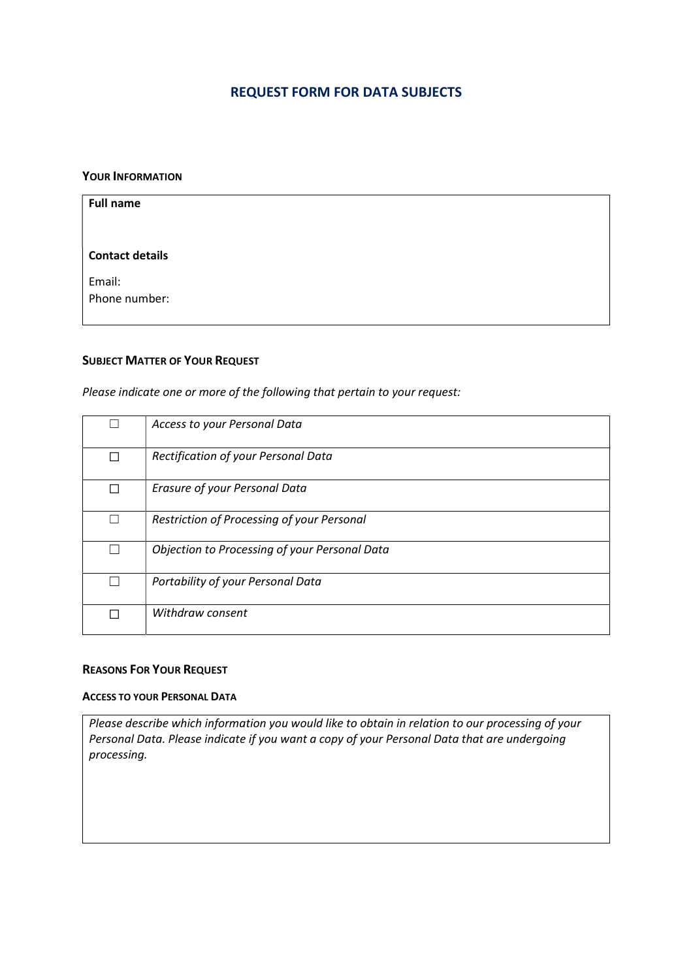# REQUEST FORM FOR DATA SUBJECTS

#### YOUR INFORMATION

| <b>Full name</b>       |  |
|------------------------|--|
|                        |  |
| <b>Contact details</b> |  |
| Email:                 |  |
| Phone number:          |  |
|                        |  |

## SUBJECT MATTER OF YOUR REQUEST

Please indicate one or more of the following that pertain to your request:

|   | Access to your Personal Data                  |
|---|-----------------------------------------------|
| П | Rectification of your Personal Data           |
| П | Erasure of your Personal Data                 |
|   | Restriction of Processing of your Personal    |
|   | Objection to Processing of your Personal Data |
|   | Portability of your Personal Data             |
|   | Withdraw consent                              |

## REASONS FOR YOUR REQUEST

#### ACCESS TO YOUR PERSONAL DATA

Please describe which information you would like to obtain in relation to our processing of your Personal Data. Please indicate if you want a copy of your Personal Data that are undergoing processing.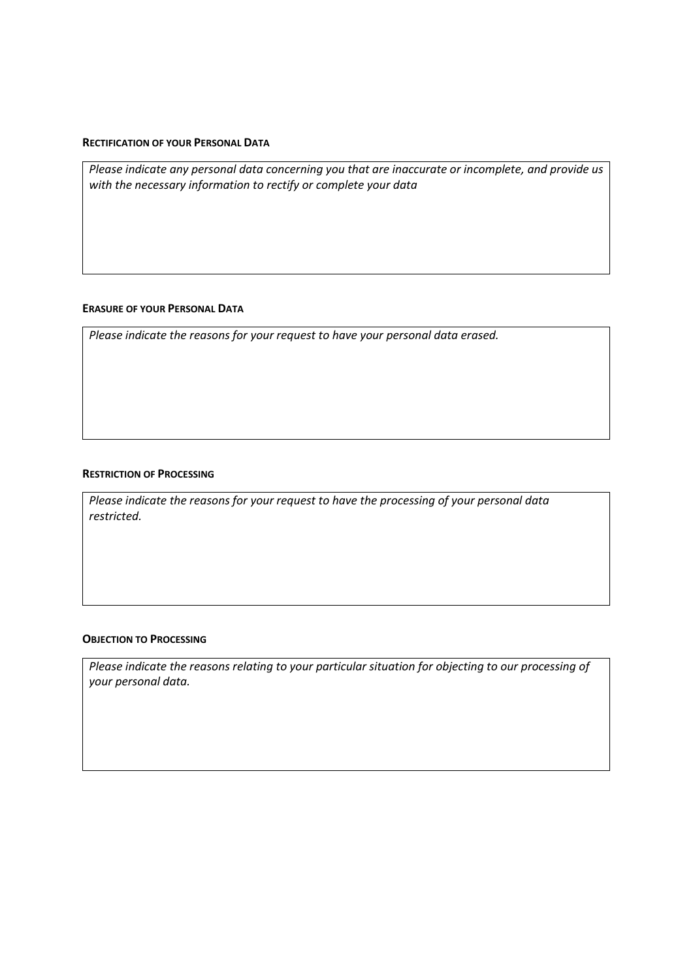#### RECTIFICATION OF YOUR PERSONAL DATA

Please indicate any personal data concerning you that are inaccurate or incomplete, and provide us with the necessary information to rectify or complete your data

#### ERASURE OF YOUR PERSONAL DATA

Please indicate the reasons for your request to have your personal data erased.

#### RESTRICTION OF PROCESSING

Please indicate the reasons for your request to have the processing of your personal data restricted.

### OBJECTION TO PROCESSING

Please indicate the reasons relating to your particular situation for objecting to our processing of your personal data.